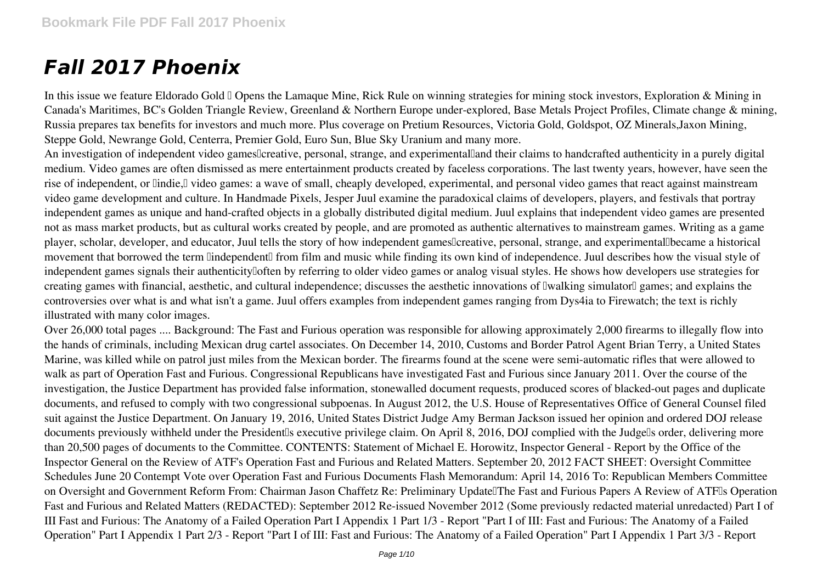## *Fall 2017 Phoenix*

In this issue we feature Eldorado Gold <sup>[</sup>] Opens the Lamaque Mine, Rick Rule on winning strategies for mining stock investors, Exploration & Mining in Canada's Maritimes, BC's Golden Triangle Review, Greenland & Northern Europe under-explored, Base Metals Project Profiles, Climate change & mining, Russia prepares tax benefits for investors and much more. Plus coverage on Pretium Resources, Victoria Gold, Goldspot, OZ Minerals,Jaxon Mining, Steppe Gold, Newrange Gold, Centerra, Premier Gold, Euro Sun, Blue Sky Uranium and many more.

An investigation of independent video games creative, personal, strange, and experimental and their claims to handcrafted authenticity in a purely digital medium. Video games are often dismissed as mere entertainment products created by faceless corporations. The last twenty years, however, have seen the rise of independent, or lindie, lvideo games: a wave of small, cheaply developed, experimental, and personal video games that react against mainstream video game development and culture. In Handmade Pixels, Jesper Juul examine the paradoxical claims of developers, players, and festivals that portray independent games as unique and hand-crafted objects in a globally distributed digital medium. Juul explains that independent video games are presented not as mass market products, but as cultural works created by people, and are promoted as authentic alternatives to mainstream games. Writing as a game player, scholar, developer, and educator, Juul tells the story of how independent games<sup>[[</sup>creative, personal, strange, and experimental[[became a historical] movement that borrowed the term lindependent from film and music while finding its own kind of independence. Juul describes how the visual style of independent games signals their authenticity loften by referring to older video games or analog visual styles. He shows how developers use strategies for creating games with financial, aesthetic, and cultural independence; discusses the aesthetic innovations of Iwalking simulatorII games; and explains the controversies over what is and what isn't a game. Juul offers examples from independent games ranging from Dys4ia to Firewatch; the text is richly illustrated with many color images.

Over 26,000 total pages .... Background: The Fast and Furious operation was responsible for allowing approximately 2,000 firearms to illegally flow into the hands of criminals, including Mexican drug cartel associates. On December 14, 2010, Customs and Border Patrol Agent Brian Terry, a United States Marine, was killed while on patrol just miles from the Mexican border. The firearms found at the scene were semi-automatic rifles that were allowed to walk as part of Operation Fast and Furious. Congressional Republicans have investigated Fast and Furious since January 2011. Over the course of the investigation, the Justice Department has provided false information, stonewalled document requests, produced scores of blacked-out pages and duplicate documents, and refused to comply with two congressional subpoenas. In August 2012, the U.S. House of Representatives Office of General Counsel filed suit against the Justice Department. On January 19, 2016, United States District Judge Amy Berman Jackson issued her opinion and ordered DOJ release documents previously withheld under the President<sup>'</sup>s executive privilege claim. On April 8, 2016, DOJ complied with the Judge<sup>'</sup>s order, delivering more than 20,500 pages of documents to the Committee. CONTENTS: Statement of Michael E. Horowitz, Inspector General - Report by the Office of the Inspector General on the Review of ATF's Operation Fast and Furious and Related Matters. September 20, 2012 FACT SHEET: Oversight Committee Schedules June 20 Contempt Vote over Operation Fast and Furious Documents Flash Memorandum: April 14, 2016 To: Republican Members Committee on Oversight and Government Reform From: Chairman Jason Chaffetz Re: Preliminary UpdatelThe Fast and Furious Papers A Review of ATFIs Operation Fast and Furious and Related Matters (REDACTED): September 2012 Re-issued November 2012 (Some previously redacted material unredacted) Part I of III Fast and Furious: The Anatomy of a Failed Operation Part I Appendix 1 Part 1/3 - Report "Part I of III: Fast and Furious: The Anatomy of a Failed Operation" Part I Appendix 1 Part 2/3 - Report "Part I of III: Fast and Furious: The Anatomy of a Failed Operation" Part I Appendix 1 Part 3/3 - Report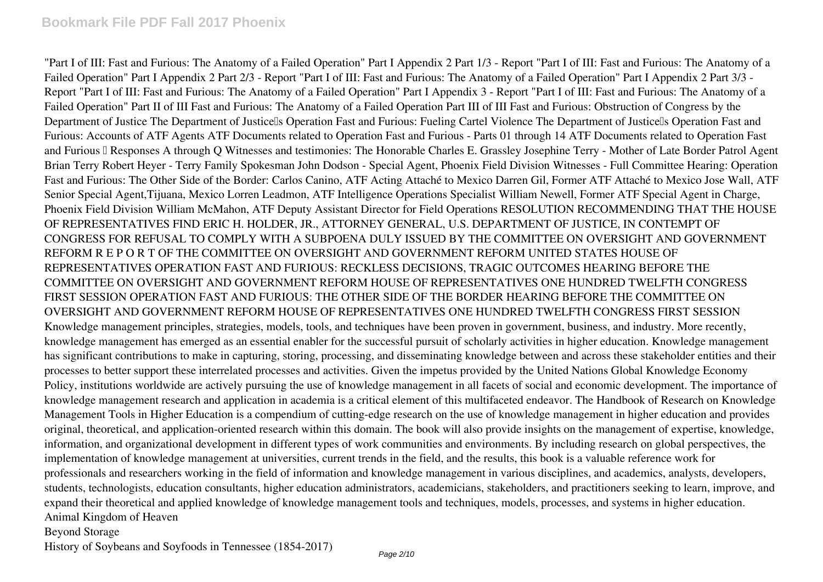"Part I of III: Fast and Furious: The Anatomy of a Failed Operation" Part I Appendix 2 Part 1/3 - Report "Part I of III: Fast and Furious: The Anatomy of a Failed Operation" Part I Appendix 2 Part 2/3 - Report "Part I of III: Fast and Furious: The Anatomy of a Failed Operation" Part I Appendix 2 Part 3/3 - Report "Part I of III: Fast and Furious: The Anatomy of a Failed Operation" Part I Appendix 3 - Report "Part I of III: Fast and Furious: The Anatomy of a Failed Operation" Part II of III Fast and Furious: The Anatomy of a Failed Operation Part III of III Fast and Furious: Obstruction of Congress by the Department of Justice The Department of Justicells Operation Fast and Furious: Fueling Cartel Violence The Department of Justicells Operation Fast and Furious: Accounts of ATF Agents ATF Documents related to Operation Fast and Furious - Parts 01 through 14 ATF Documents related to Operation Fast and Furious I Responses A through Q Witnesses and testimonies: The Honorable Charles E. Grassley Josephine Terry - Mother of Late Border Patrol Agent Brian Terry Robert Heyer - Terry Family Spokesman John Dodson - Special Agent, Phoenix Field Division Witnesses - Full Committee Hearing: Operation Fast and Furious: The Other Side of the Border: Carlos Canino, ATF Acting Attaché to Mexico Darren Gil, Former ATF Attaché to Mexico Jose Wall, ATF Senior Special Agent,Tijuana, Mexico Lorren Leadmon, ATF Intelligence Operations Specialist William Newell, Former ATF Special Agent in Charge, Phoenix Field Division William McMahon, ATF Deputy Assistant Director for Field Operations RESOLUTION RECOMMENDING THAT THE HOUSE OF REPRESENTATIVES FIND ERIC H. HOLDER, JR., ATTORNEY GENERAL, U.S. DEPARTMENT OF JUSTICE, IN CONTEMPT OF CONGRESS FOR REFUSAL TO COMPLY WITH A SUBPOENA DULY ISSUED BY THE COMMITTEE ON OVERSIGHT AND GOVERNMENT REFORM R E P O R T OF THE COMMITTEE ON OVERSIGHT AND GOVERNMENT REFORM UNITED STATES HOUSE OF REPRESENTATIVES OPERATION FAST AND FURIOUS: RECKLESS DECISIONS, TRAGIC OUTCOMES HEARING BEFORE THE COMMITTEE ON OVERSIGHT AND GOVERNMENT REFORM HOUSE OF REPRESENTATIVES ONE HUNDRED TWELFTH CONGRESS FIRST SESSION OPERATION FAST AND FURIOUS: THE OTHER SIDE OF THE BORDER HEARING BEFORE THE COMMITTEE ON OVERSIGHT AND GOVERNMENT REFORM HOUSE OF REPRESENTATIVES ONE HUNDRED TWELFTH CONGRESS FIRST SESSION Knowledge management principles, strategies, models, tools, and techniques have been proven in government, business, and industry. More recently, knowledge management has emerged as an essential enabler for the successful pursuit of scholarly activities in higher education. Knowledge management has significant contributions to make in capturing, storing, processing, and disseminating knowledge between and across these stakeholder entities and their processes to better support these interrelated processes and activities. Given the impetus provided by the United Nations Global Knowledge Economy Policy, institutions worldwide are actively pursuing the use of knowledge management in all facets of social and economic development. The importance of knowledge management research and application in academia is a critical element of this multifaceted endeavor. The Handbook of Research on Knowledge Management Tools in Higher Education is a compendium of cutting-edge research on the use of knowledge management in higher education and provides original, theoretical, and application-oriented research within this domain. The book will also provide insights on the management of expertise, knowledge, information, and organizational development in different types of work communities and environments. By including research on global perspectives, the implementation of knowledge management at universities, current trends in the field, and the results, this book is a valuable reference work for professionals and researchers working in the field of information and knowledge management in various disciplines, and academics, analysts, developers, students, technologists, education consultants, higher education administrators, academicians, stakeholders, and practitioners seeking to learn, improve, and expand their theoretical and applied knowledge of knowledge management tools and techniques, models, processes, and systems in higher education. Animal Kingdom of Heaven Beyond Storage

History of Soybeans and Soyfoods in Tennessee (1854-2017)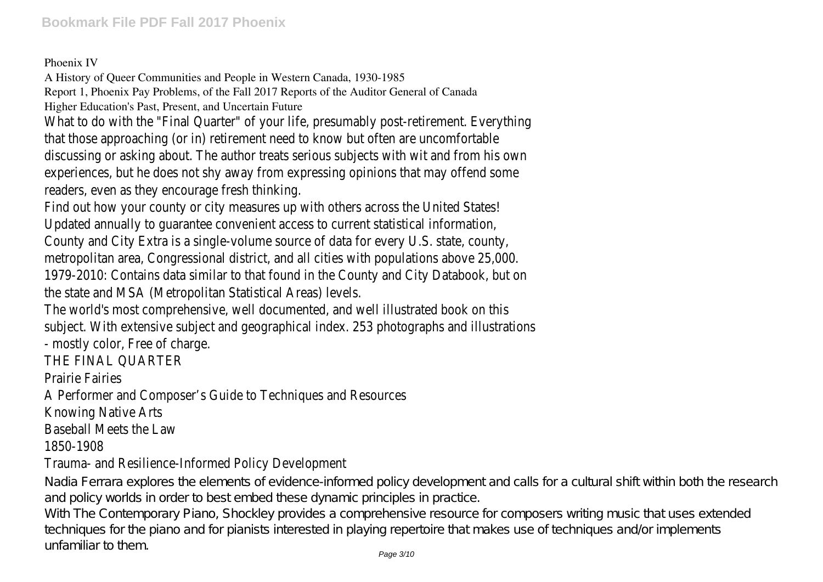## Phoenix IV

A History of Queer Communities and People in Western Canada, 1930-1985

Report 1, Phoenix Pay Problems, of the Fall 2017 Reports of the Auditor General of Canada Higher Education's Past, Present, and Uncertain Future

What to do with the "Final Quarter" of your life, presumably post-retirement. In that those approaching (or in) retirement need to know but often are uncomdiscussing or asking about. The author treats serious subjects with wit and from experiences, but he does not shy away from expressing opinions that may off readers, even as they encourage fresh thinking.

Find out how your county or city measures up with others across the United States. Updated annually to quarantee convenient access to current statistical information. County and City Extra is a single-volume source of data for every U.S. state metropolitan area, Congressional district, and all cities with populations above 1979-2010: Contains data similar to that found in the County and City Databo the state and MSA (Metropolitan Statistical Areas)

The world's most comprehensive, well documented, and well illustrated book subject. With extensive subject and geographical index. 253 photographs and illustrations.

- mostly color, Free of char

THE FINAL OUARTH

Prairie Fairie

A Performer and Composer's Guide to Techniques and Res

Knowing Native Ar

Baseball Meets the La

1850-1908

## Trauma- and Resilience-Informed Policy Develop

Nadia Ferrara explores the elements of evidence-informed policy development and calls for a cultural shift within both the research and policy worlds in order to best embed these dynamic principles in practice.

With The Contemporary Piano, Shockley provides a comprehensive resource for composers writing music that uses extended techniques for the piano and for pianists interested in playing repertoire that makes use of techniques and/or implements unfamiliar to them.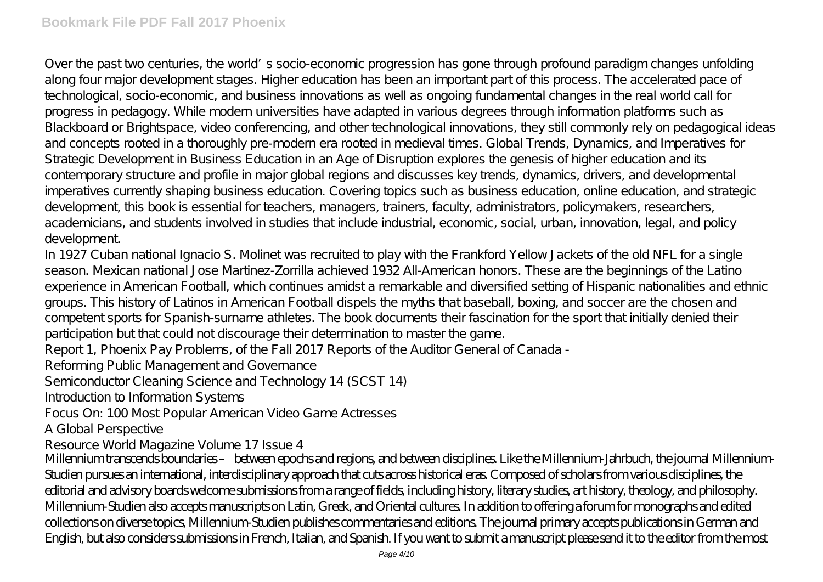Over the past two centuries, the world's socio-economic progression has gone through profound paradigm changes unfolding along four major development stages. Higher education has been an important part of this process. The accelerated pace of technological, socio-economic, and business innovations as well as ongoing fundamental changes in the real world call for progress in pedagogy. While modern universities have adapted in various degrees through information platforms such as Blackboard or Brightspace, video conferencing, and other technological innovations, they still commonly rely on pedagogical ideas and concepts rooted in a thoroughly pre-modern era rooted in medieval times. Global Trends, Dynamics, and Imperatives for Strategic Development in Business Education in an Age of Disruption explores the genesis of higher education and its contemporary structure and profile in major global regions and discusses key trends, dynamics, drivers, and developmental imperatives currently shaping business education. Covering topics such as business education, online education, and strategic development, this book is essential for teachers, managers, trainers, faculty, administrators, policymakers, researchers, academicians, and students involved in studies that include industrial, economic, social, urban, innovation, legal, and policy development.

In 1927 Cuban national Ignacio S. Molinet was recruited to play with the Frankford Yellow Jackets of the old NFL for a single season. Mexican national Jose Martinez-Zorrilla achieved 1932 All-American honors. These are the beginnings of the Latino experience in American Football, which continues amidst a remarkable and diversified setting of Hispanic nationalities and ethnic groups. This history of Latinos in American Football dispels the myths that baseball, boxing, and soccer are the chosen and competent sports for Spanish-surname athletes. The book documents their fascination for the sport that initially denied their participation but that could not discourage their determination to master the game.

Report 1, Phoenix Pay Problems, of the Fall 2017 Reports of the Auditor General of Canada -

Reforming Public Management and Governance

Semiconductor Cleaning Science and Technology 14 (SCST 14)

Introduction to Information Systems

Focus On: 100 Most Popular American Video Game Actresses

A Global Perspective

Resource World Magazine Volume 17 Issue 4

Millennium transcends boundaries – between epochs and regions, and between disciplines. Like the Millennium-Jahrbuch, the journal Millennium-Studien pursues an international, interdisciplinary approach that cuts across historical eras. Composed of scholars from various disciplines, the editorial and advisory boards welcome submissions from a range of fields, including history, literary studies, art history, theology, and philosophy. Millennium-Studien also accepts manuscripts on Latin, Greek, and Oriental cultures. In addition to offering a forum for monographs and edited collections on diverse topics, Millennium-Studien publishes commentaries and editions. The journal primary accepts publications in German and English, but also considers submissions in French, Italian, and Spanish. If you want to submit a manuscript please send it to the editor from the most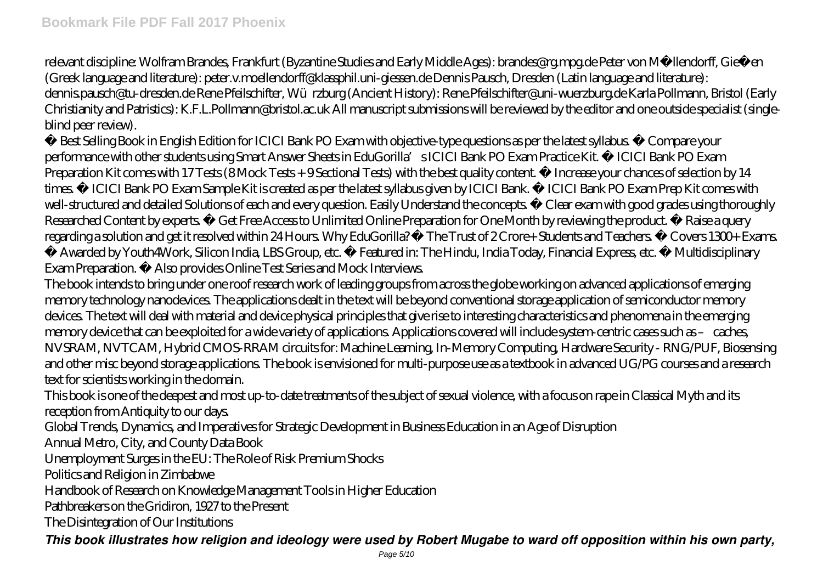relevant discipline: Wolfram Brandes, Frankfurt (Byzantine Studies and Early Middle Ages): brandes@rg.mpg.de Peter von Möllendorff, Gießen (Greek language and literature): peter.v.moellendorff@klassphil.uni-giessen.de Dennis Pausch, Dresden (Latin language and literature): dennis.pausch@tu-dresden.de Rene Pfeilschifter, Würzburg (Ancient History): Rene.Pfeilschifter@uni-wuerzburg.de Karla Pollmann, Bristol (Early

Christianity and Patristics): K.F.L.Pollmann@bristol.ac.uk All manuscript submissions will be reviewed by the editor and one outside specialist (singleblind peer review).

• Best Selling Book in English Edition for ICICI Bank PO Exam with objective-type questions as per the latest syllabus. • Compare your performance with other students using Smart Answer Sheets in EduGorilla's ICICI Bank PO Exam Practice Kit. • ICICI Bank PO Exam Preparation Kit comes with 17 Tests (8 Mock Tests + 9 Sectional Tests) with the best quality content. • Increase your chances of selection by 14 times. • ICICI Bank PO Exam Sample Kit is created as per the latest syllabus given by ICICI Bank. • ICICI Bank PO Exam Prep Kit comes with well-structured and detailed Solutions of each and every question. Easily Understand the concepts. • Clear exam with good grades using thoroughly Researched Content by experts. • Get Free Access to Unlimited Online Preparation for One Month by reviewing the product. • Raise a query regarding a solution and get it resolved within 24 Hours. Why EduGorilla? • The Trust of 2 Crore+ Students and Teachers. • Covers 1300+ Exams.

• Awarded by Youth4Work, Silicon India, LBS Group, etc. • Featured in: The Hindu, India Today, Financial Express, etc. • Multidisciplinary Exam Preparation. • Also provides Online Test Series and Mock Interviews.

The book intends to bring under one roof research work of leading groups from across the globe working on advanced applications of emerging memory technology nanodevices. The applications dealt in the text will be beyond conventional storage application of semiconductor memory devices. The text will deal with material and device physical principles that give rise to interesting characteristics and phenomena in the emerging memory device that can be exploited for a wide variety of applications. Applications covered will include system-centric cases such as – caches, NVSRAM, NVTCAM, Hybrid CMOS-RRAM circuits for: Machine Learning, In-Memory Computing, Hardware Security - RNG/PUF, Biosensing and other misc beyond storage applications. The book is envisioned for multi-purpose use as a textbook in advanced UG/PG courses and a research text for scientists working in the domain.

This book is one of the deepest and most up-to-date treatments of the subject of sexual violence, with a focus on rape in Classical Myth and its reception from Antiquity to our days.

Global Trends, Dynamics, and Imperatives for Strategic Development in Business Education in an Age of Disruption

Annual Metro, City, and County Data Book

Unemployment Surges in the EU: The Role of Risk Premium Shocks

Politics and Religion in Zimbabwe

Handbook of Research on Knowledge Management Tools in Higher Education

Pathbreakers on the Gridiron, 1927 to the Present

The Disintegration of Our Institutions

*This book illustrates how religion and ideology were used by Robert Mugabe to ward off opposition within his own party,*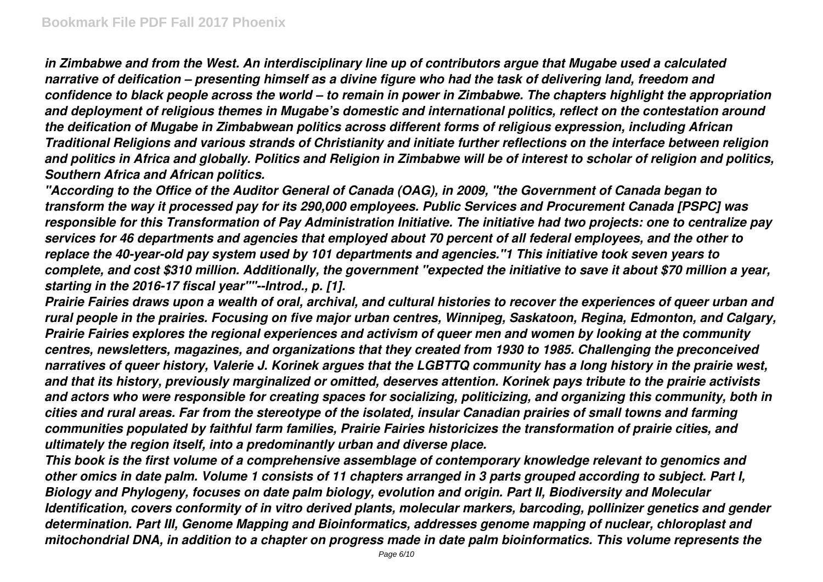*in Zimbabwe and from the West. An interdisciplinary line up of contributors argue that Mugabe used a calculated narrative of deification – presenting himself as a divine figure who had the task of delivering land, freedom and confidence to black people across the world – to remain in power in Zimbabwe. The chapters highlight the appropriation and deployment of religious themes in Mugabe's domestic and international politics, reflect on the contestation around the deification of Mugabe in Zimbabwean politics across different forms of religious expression, including African Traditional Religions and various strands of Christianity and initiate further reflections on the interface between religion and politics in Africa and globally. Politics and Religion in Zimbabwe will be of interest to scholar of religion and politics, Southern Africa and African politics.*

*"According to the Office of the Auditor General of Canada (OAG), in 2009, "the Government of Canada began to transform the way it processed pay for its 290,000 employees. Public Services and Procurement Canada [PSPC] was responsible for this Transformation of Pay Administration Initiative. The initiative had two projects: one to centralize pay services for 46 departments and agencies that employed about 70 percent of all federal employees, and the other to replace the 40-year-old pay system used by 101 departments and agencies."1 This initiative took seven years to complete, and cost \$310 million. Additionally, the government "expected the initiative to save it about \$70 million a year, starting in the 2016-17 fiscal year""--Introd., p. [1].*

*Prairie Fairies draws upon a wealth of oral, archival, and cultural histories to recover the experiences of queer urban and rural people in the prairies. Focusing on five major urban centres, Winnipeg, Saskatoon, Regina, Edmonton, and Calgary, Prairie Fairies explores the regional experiences and activism of queer men and women by looking at the community centres, newsletters, magazines, and organizations that they created from 1930 to 1985. Challenging the preconceived narratives of queer history, Valerie J. Korinek argues that the LGBTTQ community has a long history in the prairie west, and that its history, previously marginalized or omitted, deserves attention. Korinek pays tribute to the prairie activists and actors who were responsible for creating spaces for socializing, politicizing, and organizing this community, both in cities and rural areas. Far from the stereotype of the isolated, insular Canadian prairies of small towns and farming communities populated by faithful farm families, Prairie Fairies historicizes the transformation of prairie cities, and ultimately the region itself, into a predominantly urban and diverse place.*

*This book is the first volume of a comprehensive assemblage of contemporary knowledge relevant to genomics and other omics in date palm. Volume 1 consists of 11 chapters arranged in 3 parts grouped according to subject. Part I, Biology and Phylogeny, focuses on date palm biology, evolution and origin. Part II, Biodiversity and Molecular Identification, covers conformity of in vitro derived plants, molecular markers, barcoding, pollinizer genetics and gender determination. Part III, Genome Mapping and Bioinformatics, addresses genome mapping of nuclear, chloroplast and mitochondrial DNA, in addition to a chapter on progress made in date palm bioinformatics. This volume represents the*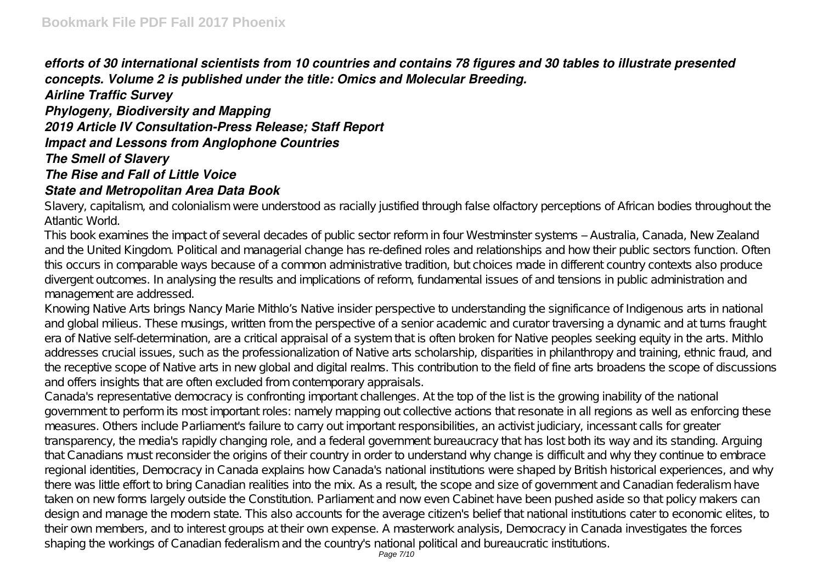*efforts of 30 international scientists from 10 countries and contains 78 figures and 30 tables to illustrate presented concepts. Volume 2 is published under the title: Omics and Molecular Breeding.*

*Airline Traffic Survey Phylogeny, Biodiversity and Mapping 2019 Article IV Consultation-Press Release; Staff Report Impact and Lessons from Anglophone Countries The Smell of Slavery The Rise and Fall of Little Voice State and Metropolitan Area Data Book*

Slavery, capitalism, and colonialism were understood as racially justified through false olfactory perceptions of African bodies throughout the A tlantic World.

This book examines the impact of several decades of public sector reform in four Westminster systems – Australia, Canada, New Zealand and the United Kingdom. Political and managerial change has re-defined roles and relationships and how their public sectors function. Often this occurs in comparable ways because of a common administrative tradition, but choices made in different country contexts also produce divergent outcomes. In analysing the results and implications of reform, fundamental issues of and tensions in public administration and management are addressed.

Knowing Native Arts brings Nancy Marie Mithlo's Native insider perspective to understanding the significance of Indigenous arts in national and global milieus. These musings, written from the perspective of a senior academic and curator traversing a dynamic and at turns fraught era of Native self-determination, are a critical appraisal of a system that is often broken for Native peoples seeking equity in the arts. Mithlo addresses crucial issues, such as the professionalization of Native arts scholarship, disparities in philanthropy and training, ethnic fraud, and the receptive scope of Native arts in new global and digital realms. This contribution to the field of fine arts broadens the scope of discussions and offers insights that are often excluded from contemporary appraisals.

Canada's representative democracy is confronting important challenges. At the top of the list is the growing inability of the national government to perform its most important roles: namely mapping out collective actions that resonate in all regions as well as enforcing these measures. Others include Parliament's failure to carry out important responsibilities, an activist judiciary, incessant calls for greater transparency, the media's rapidly changing role, and a federal government bureaucracy that has lost both its way and its standing. Arguing that Canadians must reconsider the origins of their country in order to understand why change is difficult and why they continue to embrace regional identities, Democracy in Canada explains how Canada's national institutions were shaped by British historical experiences, and why there was little effort to bring Canadian realities into the mix. As a result, the scope and size of government and Canadian federalism have taken on new forms largely outside the Constitution. Parliament and now even Cabinet have been pushed aside so that policy makers can design and manage the modern state. This also accounts for the average citizen's belief that national institutions cater to economic elites, to their own members, and to interest groups at their own expense. A masterwork analysis, Democracy in Canada investigates the forces shaping the workings of Canadian federalism and the country's national political and bureaucratic institutions.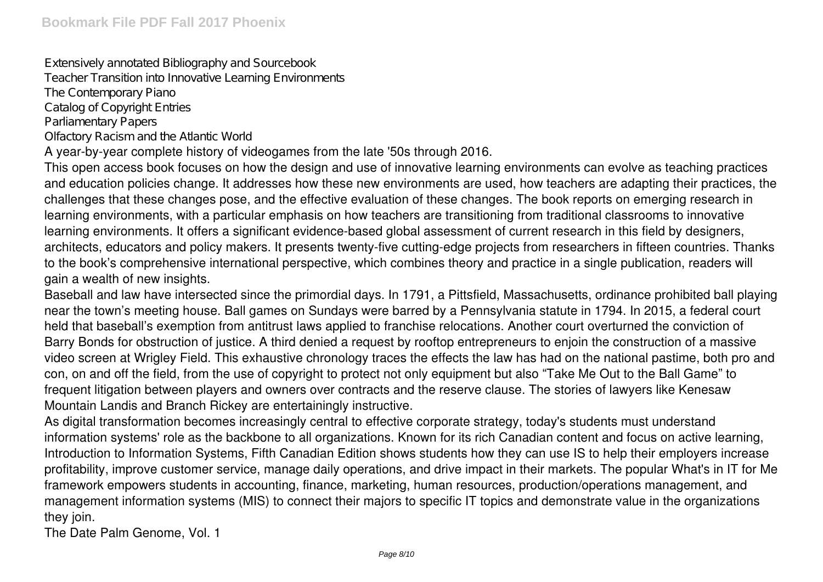Extensively annotated Bibliography and Sourcebook Teacher Transition into Innovative Learning Environments The Contemporary Piano Catalog of Copyright Entries Parliamentary Papers Olfactory Racism and the Atlantic World

A year-by-year complete history of videogames from the late '50s through 2016.

This open access book focuses on how the design and use of innovative learning environments can evolve as teaching practices and education policies change. It addresses how these new environments are used, how teachers are adapting their practices, the challenges that these changes pose, and the effective evaluation of these changes. The book reports on emerging research in learning environments, with a particular emphasis on how teachers are transitioning from traditional classrooms to innovative learning environments. It offers a significant evidence-based global assessment of current research in this field by designers, architects, educators and policy makers. It presents twenty-five cutting-edge projects from researchers in fifteen countries. Thanks to the book's comprehensive international perspective, which combines theory and practice in a single publication, readers will gain a wealth of new insights.

Baseball and law have intersected since the primordial days. In 1791, a Pittsfield, Massachusetts, ordinance prohibited ball playing near the town's meeting house. Ball games on Sundays were barred by a Pennsylvania statute in 1794. In 2015, a federal court held that baseball's exemption from antitrust laws applied to franchise relocations. Another court overturned the conviction of Barry Bonds for obstruction of justice. A third denied a request by rooftop entrepreneurs to enjoin the construction of a massive video screen at Wrigley Field. This exhaustive chronology traces the effects the law has had on the national pastime, both pro and con, on and off the field, from the use of copyright to protect not only equipment but also "Take Me Out to the Ball Game" to frequent litigation between players and owners over contracts and the reserve clause. The stories of lawyers like Kenesaw Mountain Landis and Branch Rickey are entertainingly instructive.

As digital transformation becomes increasingly central to effective corporate strategy, today's students must understand information systems' role as the backbone to all organizations. Known for its rich Canadian content and focus on active learning, Introduction to Information Systems, Fifth Canadian Edition shows students how they can use IS to help their employers increase profitability, improve customer service, manage daily operations, and drive impact in their markets. The popular What's in IT for Me framework empowers students in accounting, finance, marketing, human resources, production/operations management, and management information systems (MIS) to connect their majors to specific IT topics and demonstrate value in the organizations they join.

The Date Palm Genome, Vol. 1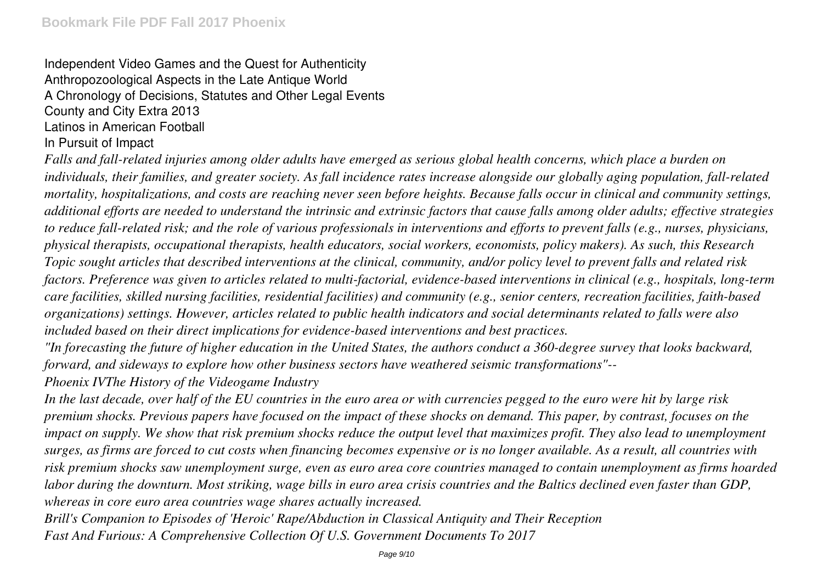Independent Video Games and the Quest for Authenticity Anthropozoological Aspects in the Late Antique World A Chronology of Decisions, Statutes and Other Legal Events County and City Extra 2013 Latinos in American Football In Pursuit of Impact

*Falls and fall-related injuries among older adults have emerged as serious global health concerns, which place a burden on individuals, their families, and greater society. As fall incidence rates increase alongside our globally aging population, fall-related mortality, hospitalizations, and costs are reaching never seen before heights. Because falls occur in clinical and community settings, additional efforts are needed to understand the intrinsic and extrinsic factors that cause falls among older adults; effective strategies to reduce fall-related risk; and the role of various professionals in interventions and efforts to prevent falls (e.g., nurses, physicians, physical therapists, occupational therapists, health educators, social workers, economists, policy makers). As such, this Research Topic sought articles that described interventions at the clinical, community, and/or policy level to prevent falls and related risk factors. Preference was given to articles related to multi-factorial, evidence-based interventions in clinical (e.g., hospitals, long-term care facilities, skilled nursing facilities, residential facilities) and community (e.g., senior centers, recreation facilities, faith-based organizations) settings. However, articles related to public health indicators and social determinants related to falls were also included based on their direct implications for evidence-based interventions and best practices.*

*"In forecasting the future of higher education in the United States, the authors conduct a 360-degree survey that looks backward, forward, and sideways to explore how other business sectors have weathered seismic transformations"--*

*Phoenix IVThe History of the Videogame Industry*

*In the last decade, over half of the EU countries in the euro area or with currencies pegged to the euro were hit by large risk premium shocks. Previous papers have focused on the impact of these shocks on demand. This paper, by contrast, focuses on the impact on supply. We show that risk premium shocks reduce the output level that maximizes profit. They also lead to unemployment surges, as firms are forced to cut costs when financing becomes expensive or is no longer available. As a result, all countries with risk premium shocks saw unemployment surge, even as euro area core countries managed to contain unemployment as firms hoarded labor during the downturn. Most striking, wage bills in euro area crisis countries and the Baltics declined even faster than GDP, whereas in core euro area countries wage shares actually increased.*

*Brill's Companion to Episodes of 'Heroic' Rape/Abduction in Classical Antiquity and Their Reception Fast And Furious: A Comprehensive Collection Of U.S. Government Documents To 2017*